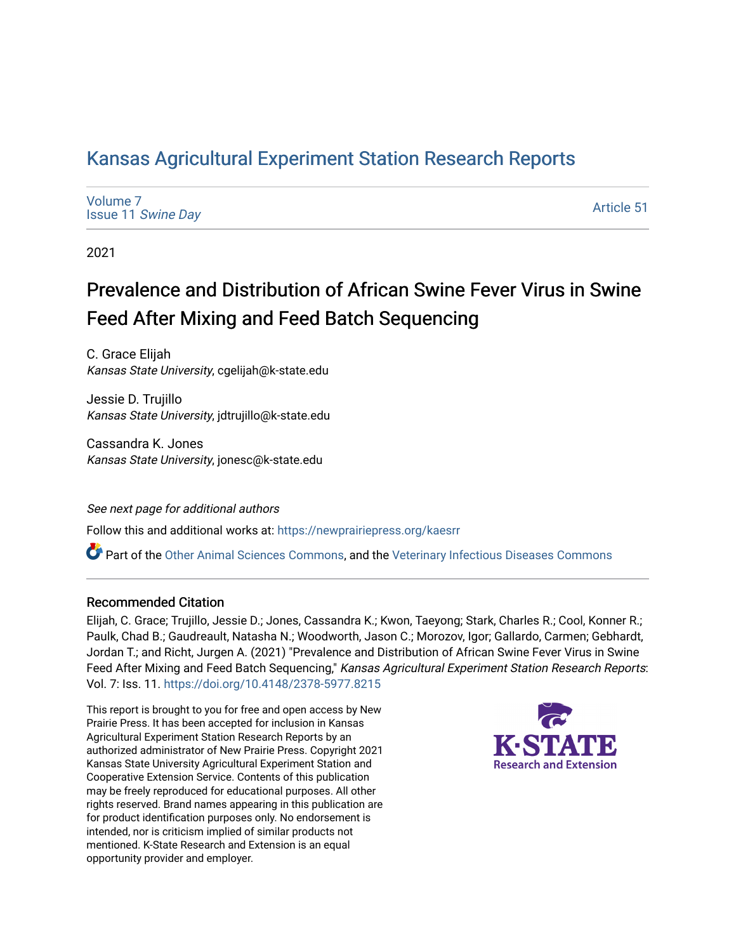# [Kansas Agricultural Experiment Station Research Reports](https://newprairiepress.org/kaesrr)

[Volume 7](https://newprairiepress.org/kaesrr/vol7) Issue 11 [Swine Day](https://newprairiepress.org/kaesrr/vol7/iss11)

[Article 51](https://newprairiepress.org/kaesrr/vol7/iss11/51) 

2021

# Prevalence and Distribution of African Swine Fever Virus in Swine Feed After Mixing and Feed Batch Sequencing

C. Grace Elijah Kansas State University, cgelijah@k-state.edu

Jessie D. Trujillo Kansas State University, jdtrujillo@k-state.edu

Cassandra K. Jones Kansas State University, jonesc@k-state.edu

See next page for additional authors Follow this and additional works at: [https://newprairiepress.org/kaesrr](https://newprairiepress.org/kaesrr?utm_source=newprairiepress.org%2Fkaesrr%2Fvol7%2Fiss11%2F51&utm_medium=PDF&utm_campaign=PDFCoverPages) 

Part of the [Other Animal Sciences Commons](http://network.bepress.com/hgg/discipline/82?utm_source=newprairiepress.org%2Fkaesrr%2Fvol7%2Fiss11%2F51&utm_medium=PDF&utm_campaign=PDFCoverPages), and the [Veterinary Infectious Diseases Commons](http://network.bepress.com/hgg/discipline/770?utm_source=newprairiepress.org%2Fkaesrr%2Fvol7%2Fiss11%2F51&utm_medium=PDF&utm_campaign=PDFCoverPages) 

# Recommended Citation

Elijah, C. Grace; Trujillo, Jessie D.; Jones, Cassandra K.; Kwon, Taeyong; Stark, Charles R.; Cool, Konner R.; Paulk, Chad B.; Gaudreault, Natasha N.; Woodworth, Jason C.; Morozov, Igor; Gallardo, Carmen; Gebhardt, Jordan T.; and Richt, Jurgen A. (2021) "Prevalence and Distribution of African Swine Fever Virus in Swine Feed After Mixing and Feed Batch Sequencing," Kansas Agricultural Experiment Station Research Reports: Vol. 7: Iss. 11.<https://doi.org/10.4148/2378-5977.8215>

This report is brought to you for free and open access by New Prairie Press. It has been accepted for inclusion in Kansas Agricultural Experiment Station Research Reports by an authorized administrator of New Prairie Press. Copyright 2021 Kansas State University Agricultural Experiment Station and Cooperative Extension Service. Contents of this publication may be freely reproduced for educational purposes. All other rights reserved. Brand names appearing in this publication are for product identification purposes only. No endorsement is intended, nor is criticism implied of similar products not mentioned. K-State Research and Extension is an equal opportunity provider and employer.

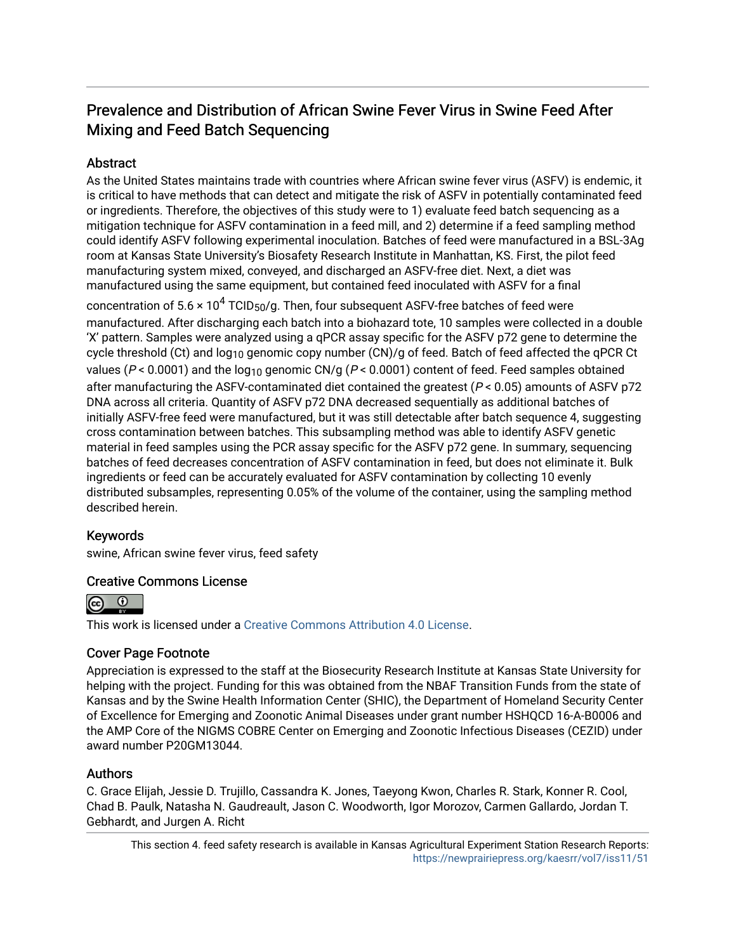# Prevalence and Distribution of African Swine Fever Virus in Swine Feed After Mixing and Feed Batch Sequencing

# **Abstract**

As the United States maintains trade with countries where African swine fever virus (ASFV) is endemic, it is critical to have methods that can detect and mitigate the risk of ASFV in potentially contaminated feed or ingredients. Therefore, the objectives of this study were to 1) evaluate feed batch sequencing as a mitigation technique for ASFV contamination in a feed mill, and 2) determine if a feed sampling method could identify ASFV following experimental inoculation. Batches of feed were manufactured in a BSL-3Ag room at Kansas State University's Biosafety Research Institute in Manhattan, KS. First, the pilot feed manufacturing system mixed, conveyed, and discharged an ASFV-free diet. Next, a diet was manufactured using the same equipment, but contained feed inoculated with ASFV for a final

concentration of 5.6 × 10<sup>4</sup> TCID<sub>50</sub>/g. Then, four subsequent ASFV-free batches of feed were manufactured. After discharging each batch into a biohazard tote, 10 samples were collected in a double 'X' pattern. Samples were analyzed using a qPCR assay specific for the ASFV p72 gene to determine the cycle threshold (Ct) and log<sub>10</sub> genomic copy number (CN)/g of feed. Batch of feed affected the qPCR Ct values ( $P < 0.0001$ ) and the log<sub>10</sub> genomic CN/g ( $P < 0.0001$ ) content of feed. Feed samples obtained after manufacturing the ASFV-contaminated diet contained the greatest ( $P < 0.05$ ) amounts of ASFV p72 DNA across all criteria. Quantity of ASFV p72 DNA decreased sequentially as additional batches of initially ASFV-free feed were manufactured, but it was still detectable after batch sequence 4, suggesting cross contamination between batches. This subsampling method was able to identify ASFV genetic material in feed samples using the PCR assay specific for the ASFV p72 gene. In summary, sequencing batches of feed decreases concentration of ASFV contamination in feed, but does not eliminate it. Bulk ingredients or feed can be accurately evaluated for ASFV contamination by collecting 10 evenly distributed subsamples, representing 0.05% of the volume of the container, using the sampling method described herein.

# Keywords

swine, African swine fever virus, feed safety

# Creative Commons License



This work is licensed under a [Creative Commons Attribution 4.0 License](https://creativecommons.org/licenses/by/4.0/).

# Cover Page Footnote

Appreciation is expressed to the staff at the Biosecurity Research Institute at Kansas State University for helping with the project. Funding for this was obtained from the NBAF Transition Funds from the state of Kansas and by the Swine Health Information Center (SHIC), the Department of Homeland Security Center of Excellence for Emerging and Zoonotic Animal Diseases under grant number HSHQCD 16-A-B0006 and the AMP Core of the NIGMS COBRE Center on Emerging and Zoonotic Infectious Diseases (CEZID) under award number P20GM13044.

# Authors

C. Grace Elijah, Jessie D. Trujillo, Cassandra K. Jones, Taeyong Kwon, Charles R. Stark, Konner R. Cool, Chad B. Paulk, Natasha N. Gaudreault, Jason C. Woodworth, Igor Morozov, Carmen Gallardo, Jordan T. Gebhardt, and Jurgen A. Richt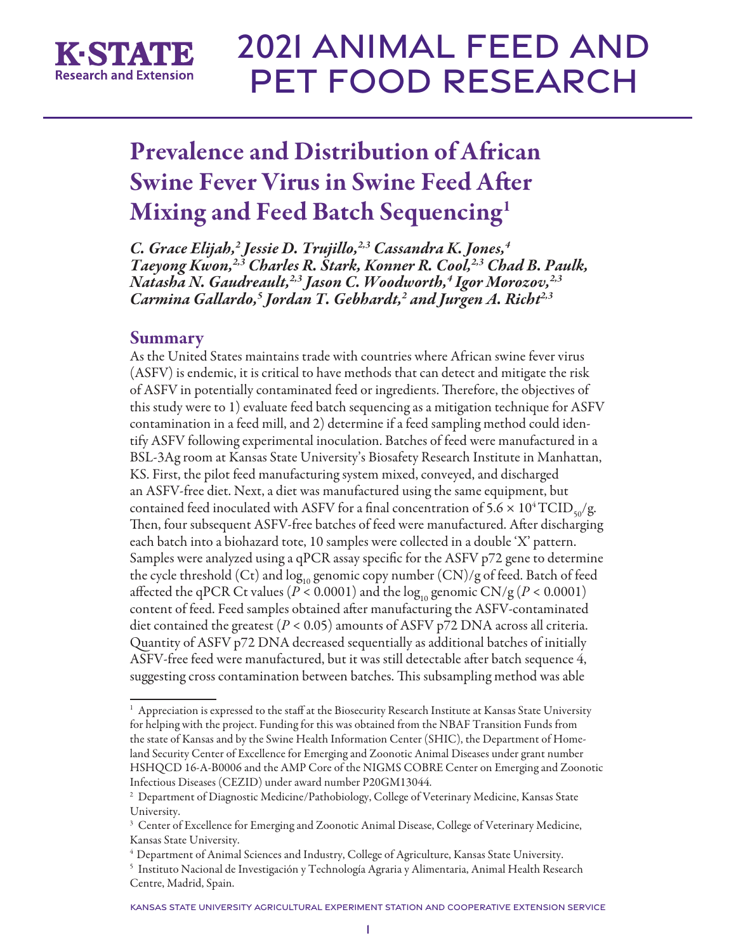

# Prevalence and Distribution of African Swine Fever Virus in Swine Feed After Mixing and Feed Batch Sequencing1

*C. Grace Elijah,2 Jessie D. Trujillo,2,3 Cassandra K. Jones,4 Taeyong Kwon,2,3 Charles R. Stark, Konner R. Cool,2,3 Chad B. Paulk, Natasha N. Gaudreault,2,3 Jason C. Woodworth,4 Igor Morozov,2,3 Carmina Gallardo,5 Jordan T. Gebhardt,2 and Jurgen A. Richt2,3*

# Summary

As the United States maintains trade with countries where African swine fever virus (ASFV) is endemic, it is critical to have methods that can detect and mitigate the risk of ASFV in potentially contaminated feed or ingredients. Therefore, the objectives of this study were to 1) evaluate feed batch sequencing as a mitigation technique for ASFV contamination in a feed mill, and 2) determine if a feed sampling method could identify ASFV following experimental inoculation. Batches of feed were manufactured in a BSL-3Ag room at Kansas State University's Biosafety Research Institute in Manhattan, KS. First, the pilot feed manufacturing system mixed, conveyed, and discharged an ASFV-free diet. Next, a diet was manufactured using the same equipment, but contained feed inoculated with ASFV for a final concentration of  $5.6 \times 10^4 \text{TCID}_{\text{so}}/\text{g}$ . Then, four subsequent ASFV-free batches of feed were manufactured. After discharging each batch into a biohazard tote, 10 samples were collected in a double 'X' pattern. Samples were analyzed using a qPCR assay specific for the ASFV p72 gene to determine the cycle threshold (Ct) and  $\log_{10}$  genomic copy number (CN)/g of feed. Batch of feed affected the qPCR Ct values ( $P < 0.0001$ ) and the log<sub>10</sub> genomic CN/g ( $P < 0.0001$ ) content of feed. Feed samples obtained after manufacturing the ASFV-contaminated diet contained the greatest (*P* < 0.05) amounts of ASFV p72 DNA across all criteria. Quantity of ASFV p72 DNA decreased sequentially as additional batches of initially ASFV-free feed were manufactured, but it was still detectable after batch sequence 4, suggesting cross contamination between batches. This subsampling method was able

 $1$  Appreciation is expressed to the staff at the Biosecurity Research Institute at Kansas State University for helping with the project. Funding for this was obtained from the NBAF Transition Funds from the state of Kansas and by the Swine Health Information Center (SHIC), the Department of Homeland Security Center of Excellence for Emerging and Zoonotic Animal Diseases under grant number HSHQCD 16-A-B0006 and the AMP Core of the NIGMS COBRE Center on Emerging and Zoonotic Infectious Diseases (CEZID) under award number P20GM13044.

<sup>2</sup> Department of Diagnostic Medicine/Pathobiology, College of Veterinary Medicine, Kansas State University.

<sup>&</sup>lt;sup>3</sup> Center of Excellence for Emerging and Zoonotic Animal Disease, College of Veterinary Medicine, Kansas State University.

<sup>4</sup> Department of Animal Sciences and Industry, College of Agriculture, Kansas State University.

<sup>5</sup> Instituto Nacional de Investigación y Technología Agraria y Alimentaria, Animal Health Research Centre, Madrid, Spain.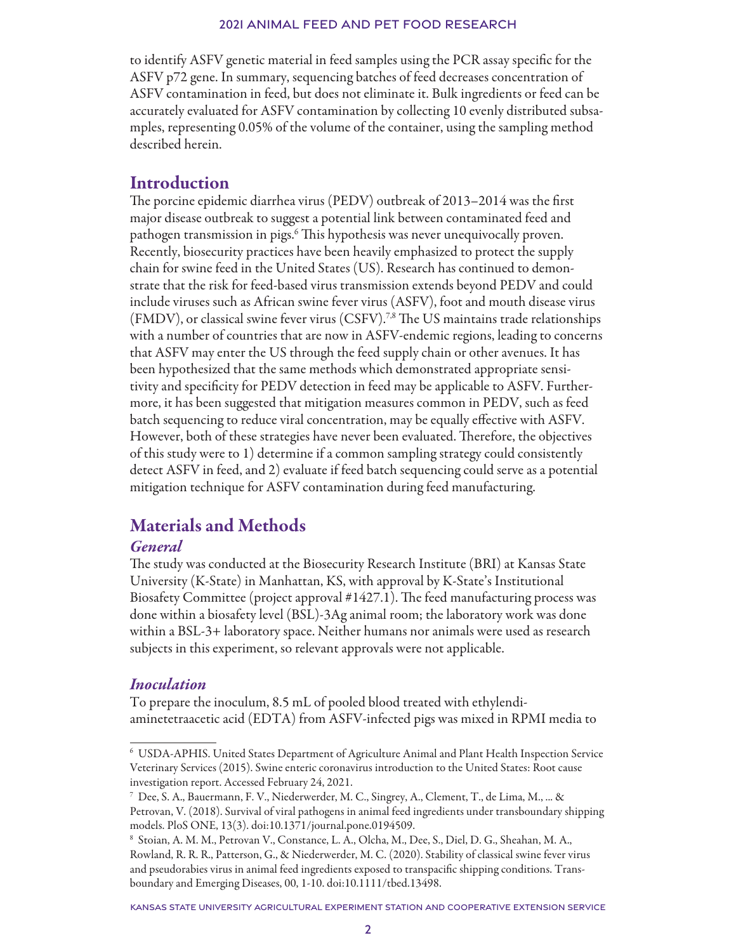to identify ASFV genetic material in feed samples using the PCR assay specific for the ASFV p72 gene. In summary, sequencing batches of feed decreases concentration of ASFV contamination in feed, but does not eliminate it. Bulk ingredients or feed can be accurately evaluated for ASFV contamination by collecting 10 evenly distributed subsamples, representing 0.05% of the volume of the container, using the sampling method described herein.

# Introduction

The porcine epidemic diarrhea virus (PEDV) outbreak of 2013–2014 was the first major disease outbreak to suggest a potential link between contaminated feed and pathogen transmission in pigs.6 This hypothesis was never unequivocally proven. Recently, biosecurity practices have been heavily emphasized to protect the supply chain for swine feed in the United States (US). Research has continued to demonstrate that the risk for feed-based virus transmission extends beyond PEDV and could include viruses such as African swine fever virus (ASFV), foot and mouth disease virus (FMDV), or classical swine fever virus (CSFV).7,8 The US maintains trade relationships with a number of countries that are now in ASFV-endemic regions, leading to concerns that ASFV may enter the US through the feed supply chain or other avenues. It has been hypothesized that the same methods which demonstrated appropriate sensitivity and specificity for PEDV detection in feed may be applicable to ASFV. Furthermore, it has been suggested that mitigation measures common in PEDV, such as feed batch sequencing to reduce viral concentration, may be equally effective with ASFV. However, both of these strategies have never been evaluated. Therefore, the objectives of this study were to 1) determine if a common sampling strategy could consistently detect ASFV in feed, and 2) evaluate if feed batch sequencing could serve as a potential mitigation technique for ASFV contamination during feed manufacturing.

# Materials and Methods

# *General*

The study was conducted at the Biosecurity Research Institute (BRI) at Kansas State University (K-State) in Manhattan, KS, with approval by K-State's Institutional Biosafety Committee (project approval #1427.1). The feed manufacturing process was done within a biosafety level (BSL)-3Ag animal room; the laboratory work was done within a BSL-3+ laboratory space. Neither humans nor animals were used as research subjects in this experiment, so relevant approvals were not applicable.

# *Inoculation*

To prepare the inoculum, 8.5 mL of pooled blood treated with ethylendiaminetetraacetic acid (EDTA) from ASFV-infected pigs was mixed in RPMI media to

<sup>6</sup> USDA-APHIS. United States Department of Agriculture Animal and Plant Health Inspection Service Veterinary Services (2015). Swine enteric coronavirus introduction to the United States: Root cause investigation report. Accessed February 24, 2021.

<sup>7</sup> Dee, S. A., Bauermann, F. V., Niederwerder, M. C., Singrey, A., Clement, T., de Lima, M., ... & Petrovan, V. (2018). Survival of viral pathogens in animal feed ingredients under transboundary shipping models. PloS ONE, 13(3). doi:10.1371/journal.pone.0194509.

<sup>8</sup> Stoian, A. M. M., Petrovan V., Constance, L. A., Olcha, M., Dee, S., Diel, D. G., Sheahan, M. A., Rowland, R. R. R., Patterson, G., & Niederwerder, M. C. (2020). Stability of classical swine fever virus and pseudorabies virus in animal feed ingredients exposed to transpacific shipping conditions. Transboundary and Emerging Diseases, 00, 1-10. doi:10.1111/tbed.13498.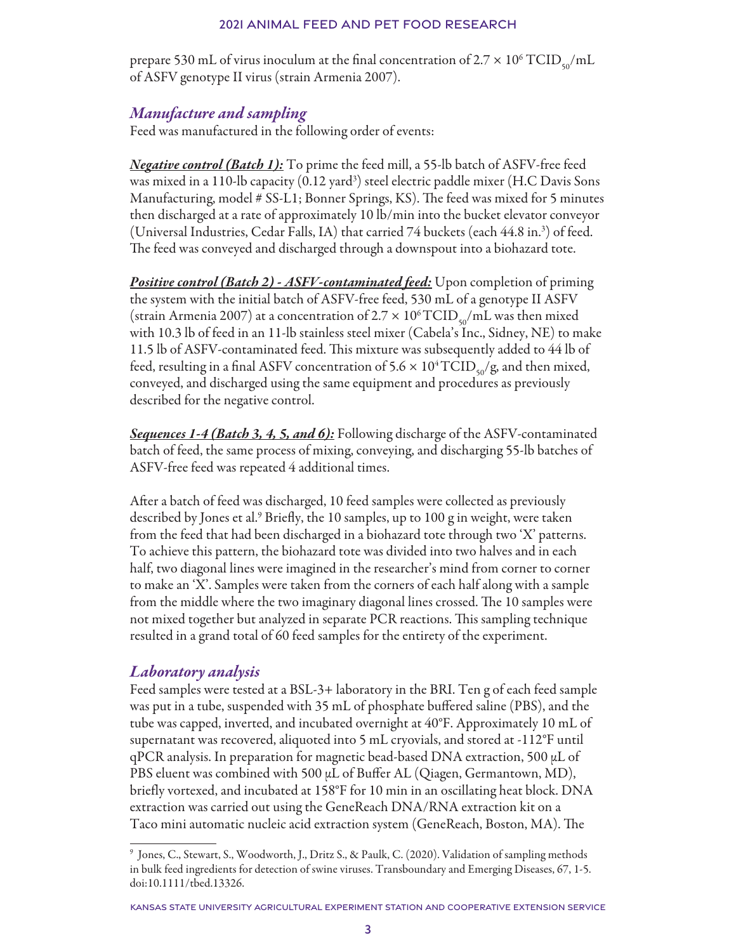prepare 530 mL of virus inoculum at the final concentration of 2.7  $\times$  10<sup>6</sup> TCID<sub>50</sub>/mL of ASFV genotype II virus (strain Armenia 2007).

# *Manufacture and sampling*

Feed was manufactured in the following order of events:

*Negative control (Batch 1):* To prime the feed mill, a 55-lb batch of ASFV-free feed was mixed in a 110-lb capacity (0.12 yard<sup>3</sup>) steel electric paddle mixer (H.C Davis Sons Manufacturing, model # SS-L1; Bonner Springs, KS). The feed was mixed for 5 minutes then discharged at a rate of approximately 10 lb/min into the bucket elevator conveyor (Universal Industries, Cedar Falls, IA) that carried 74 buckets (each 44.8 in.3 ) of feed. The feed was conveyed and discharged through a downspout into a biohazard tote.

*Positive control (Batch 2) - ASFV-contaminated feed:* Upon completion of priming the system with the initial batch of ASFV-free feed, 530 mL of a genotype II ASFV (strain Armenia 2007) at a concentration of 2.7  $\times$  10<sup>6</sup> TCID<sub>50</sub>/mL was then mixed with 10.3 lb of feed in an 11-lb stainless steel mixer (Cabela's Inc., Sidney, NE) to make 11.5 lb of ASFV-contaminated feed. This mixture was subsequently added to 44 lb of feed, resulting in a final ASFV concentration of  $5.6 \times 10^4$  TCID<sub>50</sub>/g, and then mixed, conveyed, and discharged using the same equipment and procedures as previously described for the negative control.

*Sequences 1-4 (Batch 3, 4, 5, and 6):* Following discharge of the ASFV-contaminated batch of feed, the same process of mixing, conveying, and discharging 55-lb batches of ASFV-free feed was repeated 4 additional times.

After a batch of feed was discharged, 10 feed samples were collected as previously described by Jones et al.<sup>9</sup> Briefly, the 10 samples, up to 100 g in weight, were taken from the feed that had been discharged in a biohazard tote through two 'X' patterns. To achieve this pattern, the biohazard tote was divided into two halves and in each half, two diagonal lines were imagined in the researcher's mind from corner to corner to make an 'X'. Samples were taken from the corners of each half along with a sample from the middle where the two imaginary diagonal lines crossed. The 10 samples were not mixed together but analyzed in separate PCR reactions. This sampling technique resulted in a grand total of 60 feed samples for the entirety of the experiment.

# *Laboratory analysis*

Feed samples were tested at a BSL-3+ laboratory in the BRI. Ten g of each feed sample was put in a tube, suspended with 35 mL of phosphate buffered saline (PBS), and the tube was capped, inverted, and incubated overnight at 40°F. Approximately 10 mL of supernatant was recovered, aliquoted into 5 mL cryovials, and stored at -112°F until  $qPCR$  analysis. In preparation for magnetic bead-based DNA extraction, 500  $\mu$ L of PBS eluent was combined with 500 µL of Buffer AL (Qiagen, Germantown, MD), briefly vortexed, and incubated at 158°F for 10 min in an oscillating heat block. DNA extraction was carried out using the GeneReach DNA/RNA extraction kit on a Taco mini automatic nucleic acid extraction system (GeneReach, Boston, MA). The

<sup>9</sup> Jones, C., Stewart, S., Woodworth, J., Dritz S., & Paulk, C. (2020). Validation of sampling methods in bulk feed ingredients for detection of swine viruses. Transboundary and Emerging Diseases, 67, 1-5. doi:10.1111/tbed.13326.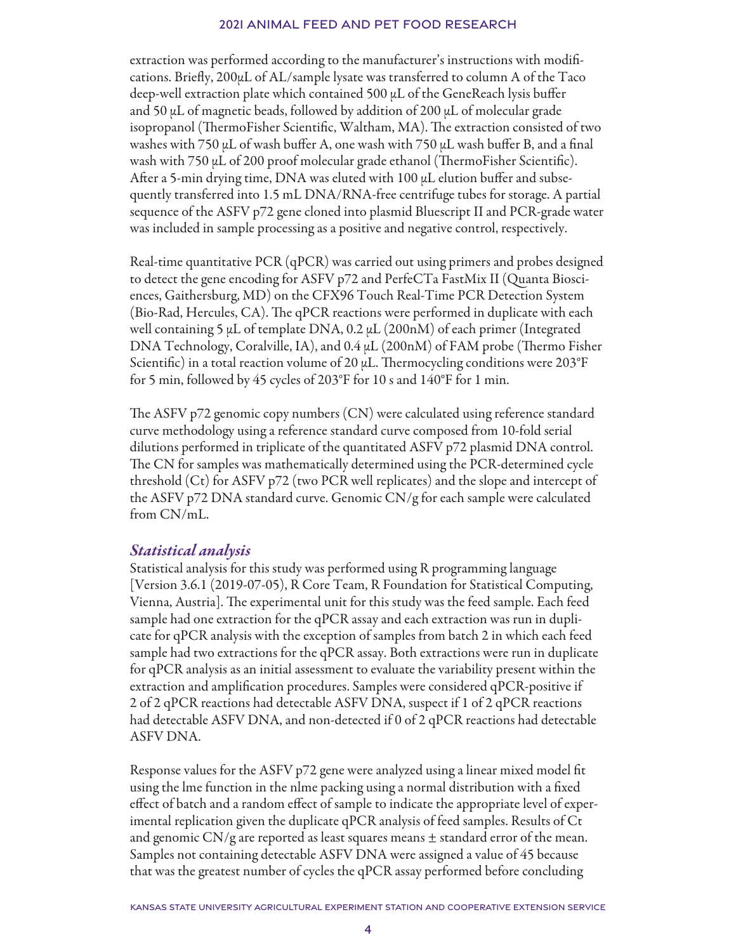extraction was performed according to the manufacturer's instructions with modifications. Briefly, 200µL of AL/sample lysate was transferred to column A of the Taco deep-well extraction plate which contained 500 µL of the GeneReach lysis buffer and 50  $\mu$ L of magnetic beads, followed by addition of 200  $\mu$ L of molecular grade isopropanol (ThermoFisher Scientific, Waltham, MA). The extraction consisted of two washes with 750  $\mu$ L of wash buffer A, one wash with 750  $\mu$ L wash buffer B, and a final wash with 750 µL of 200 proof molecular grade ethanol (ThermoFisher Scientific). After a 5-min drying time, DNA was eluted with 100 µL elution buffer and subsequently transferred into 1.5 mL DNA/RNA-free centrifuge tubes for storage. A partial sequence of the ASFV p72 gene cloned into plasmid Bluescript II and PCR-grade water was included in sample processing as a positive and negative control, respectively.

Real-time quantitative PCR (qPCR) was carried out using primers and probes designed to detect the gene encoding for ASFV p72 and PerfeCTa FastMix II (Quanta Biosciences, Gaithersburg, MD) on the CFX96 Touch Real-Time PCR Detection System (Bio-Rad, Hercules, CA). The qPCR reactions were performed in duplicate with each well containing 5 µL of template DNA, 0.2 µL (200nM) of each primer (Integrated DNA Technology, Coralville, IA), and 0.4 µL (200nM) of FAM probe (Thermo Fisher Scientific) in a total reaction volume of 20  $\mu$ L. Thermocycling conditions were 203°F for 5 min, followed by 45 cycles of 203°F for 10 s and 140°F for 1 min.

The ASFV p72 genomic copy numbers (CN) were calculated using reference standard curve methodology using a reference standard curve composed from 10-fold serial dilutions performed in triplicate of the quantitated ASFV p72 plasmid DNA control. The CN for samples was mathematically determined using the PCR-determined cycle threshold (Ct) for ASFV p72 (two PCR well replicates) and the slope and intercept of the ASFV p72 DNA standard curve. Genomic CN/g for each sample were calculated from CN/mL.

# *Statistical analysis*

Statistical analysis for this study was performed using R programming language [Version 3.6.1 (2019-07-05), R Core Team, R Foundation for Statistical Computing, Vienna, Austria]. The experimental unit for this study was the feed sample. Each feed sample had one extraction for the qPCR assay and each extraction was run in duplicate for qPCR analysis with the exception of samples from batch 2 in which each feed sample had two extractions for the qPCR assay. Both extractions were run in duplicate for qPCR analysis as an initial assessment to evaluate the variability present within the extraction and amplification procedures. Samples were considered qPCR-positive if 2 of 2 qPCR reactions had detectable ASFV DNA, suspect if 1 of 2 qPCR reactions had detectable ASFV DNA, and non-detected if 0 of 2 qPCR reactions had detectable ASFV DNA.

Response values for the ASFV p72 gene were analyzed using a linear mixed model fit using the lme function in the nlme packing using a normal distribution with a fixed effect of batch and a random effect of sample to indicate the appropriate level of experimental replication given the duplicate qPCR analysis of feed samples. Results of Ct and genomic CN/g are reported as least squares means  $\pm$  standard error of the mean. Samples not containing detectable ASFV DNA were assigned a value of 45 because that was the greatest number of cycles the qPCR assay performed before concluding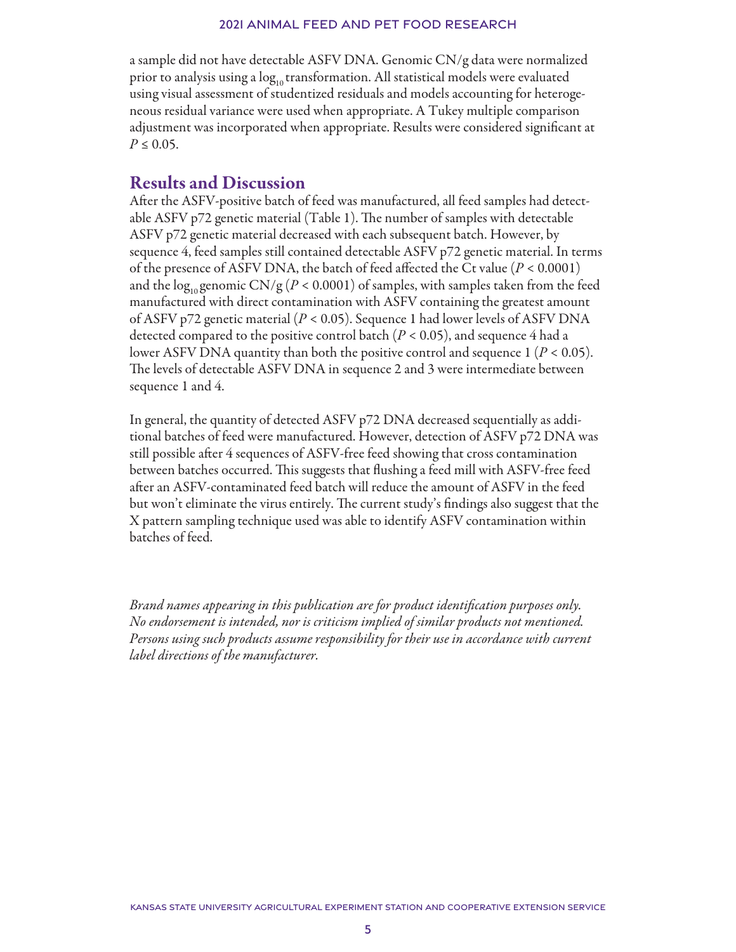a sample did not have detectable ASFV DNA. Genomic CN/g data were normalized prior to analysis using a log<sub>10</sub> transformation. All statistical models were evaluated using visual assessment of studentized residuals and models accounting for heterogeneous residual variance were used when appropriate. A Tukey multiple comparison adjustment was incorporated when appropriate. Results were considered significant at  $P \le 0.05$ .

# Results and Discussion

After the ASFV-positive batch of feed was manufactured, all feed samples had detectable ASFV p72 genetic material (Table 1). The number of samples with detectable ASFV p72 genetic material decreased with each subsequent batch. However, by sequence 4, feed samples still contained detectable ASFV p72 genetic material. In terms of the presence of ASFV DNA, the batch of feed affected the Ct value (*P* < 0.0001) and the  $\log_{10}$  genomic CN/g ( $P < 0.0001$ ) of samples, with samples taken from the feed manufactured with direct contamination with ASFV containing the greatest amount of ASFV p72 genetic material (*P* < 0.05). Sequence 1 had lower levels of ASFV DNA detected compared to the positive control batch  $(P < 0.05)$ , and sequence 4 had a lower ASFV DNA quantity than both the positive control and sequence 1 (*P* < 0.05). The levels of detectable ASFV DNA in sequence 2 and 3 were intermediate between sequence 1 and 4.

In general, the quantity of detected ASFV p72 DNA decreased sequentially as additional batches of feed were manufactured. However, detection of ASFV p72 DNA was still possible after 4 sequences of ASFV-free feed showing that cross contamination between batches occurred. This suggests that flushing a feed mill with ASFV-free feed after an ASFV-contaminated feed batch will reduce the amount of ASFV in the feed but won't eliminate the virus entirely. The current study's findings also suggest that the X pattern sampling technique used was able to identify ASFV contamination within batches of feed.

*Brand names appearing in this publication are for product identification purposes only. No endorsement is intended, nor is criticism implied of similar products not mentioned. Persons using such products assume responsibility for their use in accordance with current label directions of the manufacturer.*